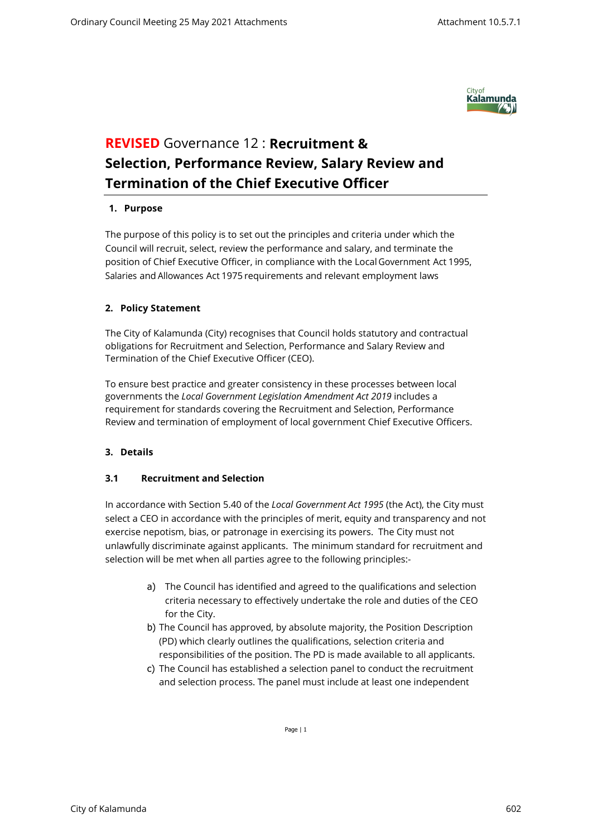

# **REVISED** Governance 12 : **Recruitment & Selection, Performance Review, Salary Review and Termination of the Chief Executive Officer**

## **1. Purpose**

The purpose of this policy is to set out the principles and criteria under which the Council will recruit, select, review the performance and salary, and terminate the position of Chief Executive Officer, in compliance with the Local Government Act 1995, Salaries and Allowances Act 1975 requirements and relevant employment laws

## **2. Policy Statement**

The City of Kalamunda (City) recognises that Council holds statutory and contractual obligations for Recruitment and Selection, Performance and Salary Review and Termination of the Chief Executive Officer (CEO).

To ensure best practice and greater consistency in these processes between local governments the *Local Government Legislation Amendment Act 2019* includes a requirement for standards covering the Recruitment and Selection, Performance Review and termination of employment of local government Chief Executive Officers.

## **3. Details**

## **3.1 Recruitment and Selection**

In accordance with Section 5.40 of the *Local Government Act 1995* (the Act), the City must select a CEO in accordance with the principles of merit, equity and transparency and not exercise nepotism, bias, or patronage in exercising its powers. The City must not unlawfully discriminate against applicants. The minimum standard for recruitment and selection will be met when all parties agree to the following principles:-

- a) The Council has identified and agreed to the qualifications and selection criteria necessary to effectively undertake the role and duties of the CEO for the City.
- b) The Council has approved, by absolute majority, the Position Description (PD) which clearly outlines the qualifications, selection criteria and responsibilities of the position. The PD is made available to all applicants.
- c) The Council has established a selection panel to conduct the recruitment and selection process. The panel must include at least one independent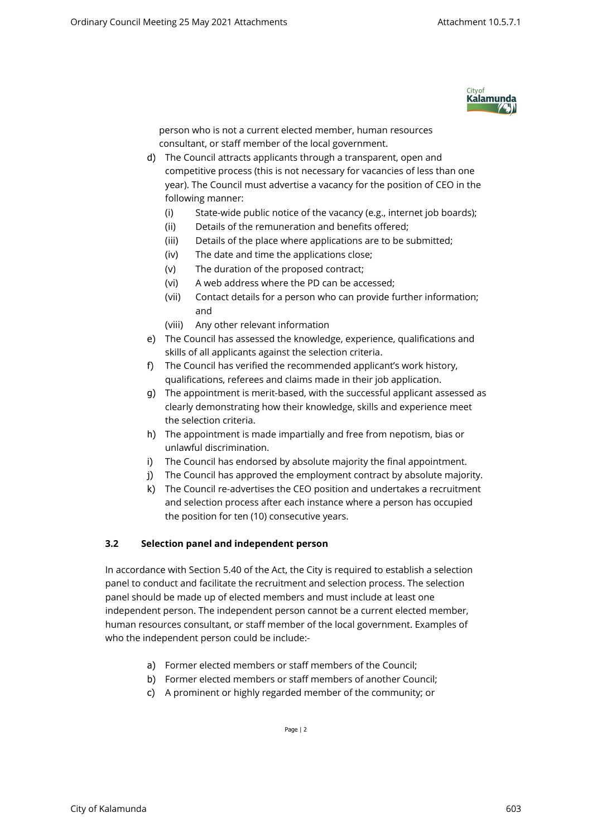

person who is not a current elected member, human resources consultant, or staff member of the local government.

- d) The Council attracts applicants through a transparent, open and competitive process (this is not necessary for vacancies of less than one year). The Council must advertise a vacancy for the position of CEO in the following manner:
	- (i) State-wide public notice of the vacancy (e.g., internet job boards);
	- (ii) Details of the remuneration and benefits offered;
	- (iii) Details of the place where applications are to be submitted;
	- (iv) The date and time the applications close;
	- (v) The duration of the proposed contract;
	- (vi) A web address where the PD can be accessed;
	- (vii) Contact details for a person who can provide further information; and
	- (viii) Any other relevant information
- e) The Council has assessed the knowledge, experience, qualifications and skills of all applicants against the selection criteria.
- f) The Council has verified the recommended applicant's work history, qualifications, referees and claims made in their job application.
- g) The appointment is merit-based, with the successful applicant assessed as clearly demonstrating how their knowledge, skills and experience meet the selection criteria.
- h) The appointment is made impartially and free from nepotism, bias or unlawful discrimination.
- i) The Council has endorsed by absolute majority the final appointment.
- j) The Council has approved the employment contract by absolute majority.
- k) The Council re-advertises the CEO position and undertakes a recruitment and selection process after each instance where a person has occupied the position for ten (10) consecutive years.

## **3.2 Selection panel and independent person**

In accordance with Section 5.40 of the Act, the City is required to establish a selection panel to conduct and facilitate the recruitment and selection process. The selection panel should be made up of elected members and must include at least one independent person. The independent person cannot be a current elected member, human resources consultant, or staff member of the local government. Examples of who the independent person could be include:-

- a) Former elected members or staff members of the Council;
- b) Former elected members or staff members of another Council;
- c) A prominent or highly regarded member of the community; or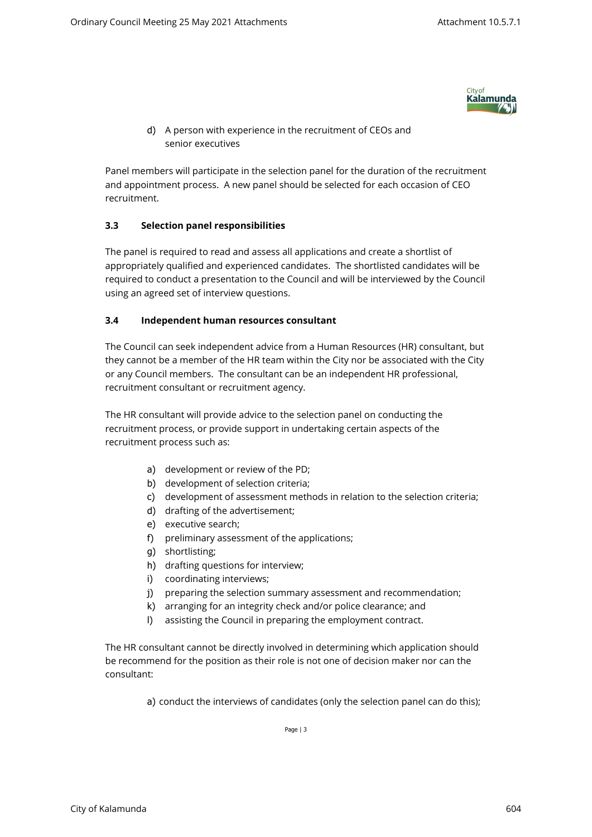

d) A person with experience in the recruitment of CEOs and senior executives

Panel members will participate in the selection panel for the duration of the recruitment and appointment process. A new panel should be selected for each occasion of CEO recruitment.

## **3.3 Selection panel responsibilities**

The panel is required to read and assess all applications and create a shortlist of appropriately qualified and experienced candidates. The shortlisted candidates will be required to conduct a presentation to the Council and will be interviewed by the Council using an agreed set of interview questions.

## **3.4 Independent human resources consultant**

The Council can seek independent advice from a Human Resources (HR) consultant, but they cannot be a member of the HR team within the City nor be associated with the City or any Council members. The consultant can be an independent HR professional, recruitment consultant or recruitment agency.

The HR consultant will provide advice to the selection panel on conducting the recruitment process, or provide support in undertaking certain aspects of the recruitment process such as:

- a) development or review of the PD;
- b) development of selection criteria;
- c) development of assessment methods in relation to the selection criteria;
- d) drafting of the advertisement;
- e) executive search;
- f) preliminary assessment of the applications;
- g) shortlisting;
- h) drafting questions for interview;
- i) coordinating interviews;
- j) preparing the selection summary assessment and recommendation;
- k) arranging for an integrity check and/or police clearance; and
- l) assisting the Council in preparing the employment contract.

The HR consultant cannot be directly involved in determining which application should be recommend for the position as their role is not one of decision maker nor can the consultant:

a) conduct the interviews of candidates (only the selection panel can do this);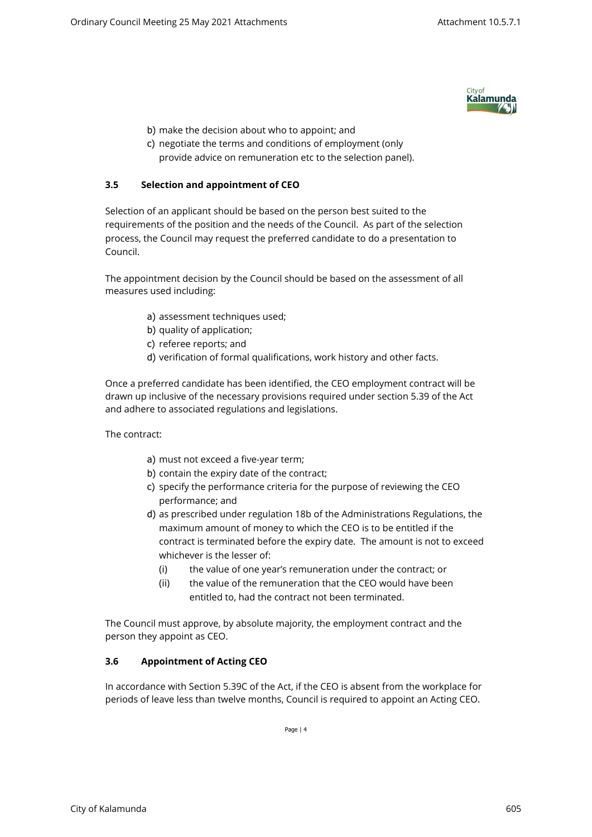

- b) make the decision about who to appoint; and
- c) negotiate the terms and conditions of employment (only provide advice on remuneration etc to the selection panel).

## **3.5 Selection and appointment of CEO**

Selection of an applicant should be based on the person best suited to the requirements of the position and the needs of the Council. As part of the selection process, the Council may request the preferred candidate to do a presentation to Council.

The appointment decision by the Council should be based on the assessment of all measures used including:

- a) assessment techniques used;
- b) quality of application;
- c) referee reports; and
- d) verification of formal qualifications, work history and other facts.

Once a preferred candidate has been identified, the CEO employment contract will be drawn up inclusive of the necessary provisions required under section 5.39 of the Act and adhere to associated regulations and legislations.

The contract:

- a) must not exceed a five-year term;
- b) contain the expiry date of the contract;
- c) specify the performance criteria for the purpose of reviewing the CEO performance; and
- d) as prescribed under regulation 18b of the Administrations Regulations, the maximum amount of money to which the CEO is to be entitled if the contract is terminated before the expiry date. The amount is not to exceed whichever is the lesser of:
	- (i) the value of one year's remuneration under the contract; or
	- (ii) the value of the remuneration that the CEO would have been entitled to, had the contract not been terminated.

The Council must approve, by absolute majority, the employment contract and the person they appoint as CEO.

## **3.6 Appointment of Acting CEO**

In accordance with Section 5.39C of the Act, if the CEO is absent from the workplace for periods of leave less than twelve months, Council is required to appoint an Acting CEO.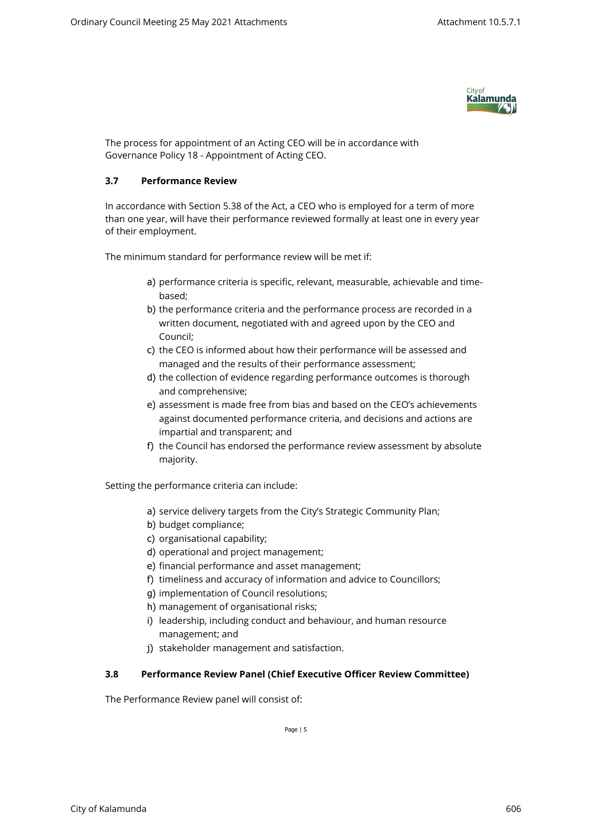

The process for appointment of an Acting CEO will be in accordance with Governance Policy 18 - Appointment of Acting CEO.

## **3.7 Performance Review**

In accordance with Section 5.38 of the Act, a CEO who is employed for a term of more than one year, will have their performance reviewed formally at least one in every year of their employment.

The minimum standard for performance review will be met if:

- a) performance criteria is specific, relevant, measurable, achievable and timebased;
- b) the performance criteria and the performance process are recorded in a written document, negotiated with and agreed upon by the CEO and Council;
- c) the CEO is informed about how their performance will be assessed and managed and the results of their performance assessment;
- d) the collection of evidence regarding performance outcomes is thorough and comprehensive;
- e) assessment is made free from bias and based on the CEO's achievements against documented performance criteria, and decisions and actions are impartial and transparent; and
- f) the Council has endorsed the performance review assessment by absolute majority.

Setting the performance criteria can include:

- a) service delivery targets from the City's Strategic Community Plan;
- b) budget compliance;
- c) organisational capability;
- d) operational and project management;
- e) financial performance and asset management;
- f) timeliness and accuracy of information and advice to Councillors;
- g) implementation of Council resolutions;
- h) management of organisational risks;
- i) leadership, including conduct and behaviour, and human resource management; and
- j) stakeholder management and satisfaction.

## **3.8 Performance Review Panel (Chief Executive Officer Review Committee)**

The Performance Review panel will consist of: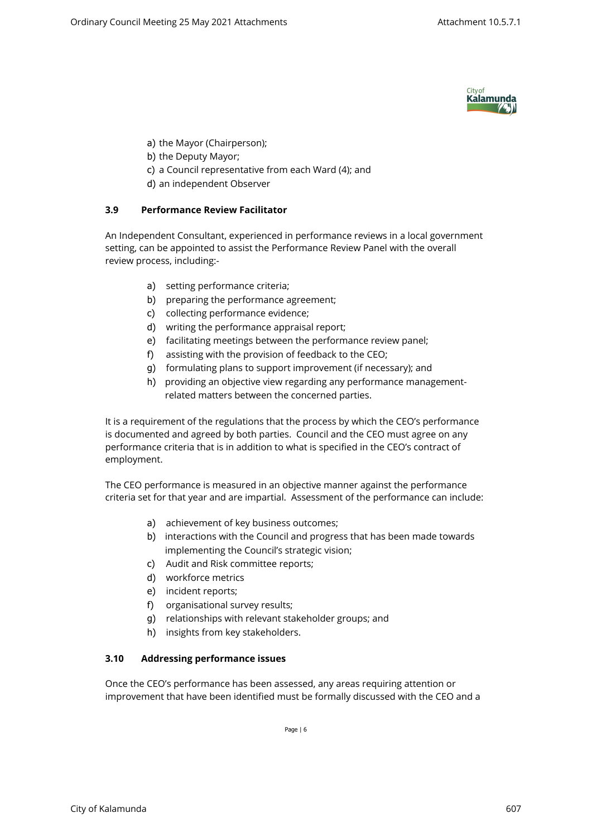

- a) the Mayor (Chairperson);
- b) the Deputy Mayor;
- c) a Council representative from each Ward (4); and
- d) an independent Observer

## **3.9 Performance Review Facilitator**

An Independent Consultant, experienced in performance reviews in a local government setting, can be appointed to assist the Performance Review Panel with the overall review process, including:-

- a) setting performance criteria;
- b) preparing the performance agreement;
- c) collecting performance evidence;
- d) writing the performance appraisal report;
- e) facilitating meetings between the performance review panel;
- f) assisting with the provision of feedback to the CEO;
- g) formulating plans to support improvement (if necessary); and
- h) providing an objective view regarding any performance managementrelated matters between the concerned parties.

It is a requirement of the regulations that the process by which the CEO's performance is documented and agreed by both parties. Council and the CEO must agree on any performance criteria that is in addition to what is specified in the CEO's contract of employment.

The CEO performance is measured in an objective manner against the performance criteria set for that year and are impartial. Assessment of the performance can include:

- a) achievement of key business outcomes;
- b) interactions with the Council and progress that has been made towards implementing the Council's strategic vision;
- c) Audit and Risk committee reports;
- d) workforce metrics
- e) incident reports;
- f) organisational survey results;
- g) relationships with relevant stakeholder groups; and
- h) insights from key stakeholders.

## **3.10 Addressing performance issues**

Once the CEO's performance has been assessed, any areas requiring attention or improvement that have been identified must be formally discussed with the CEO and a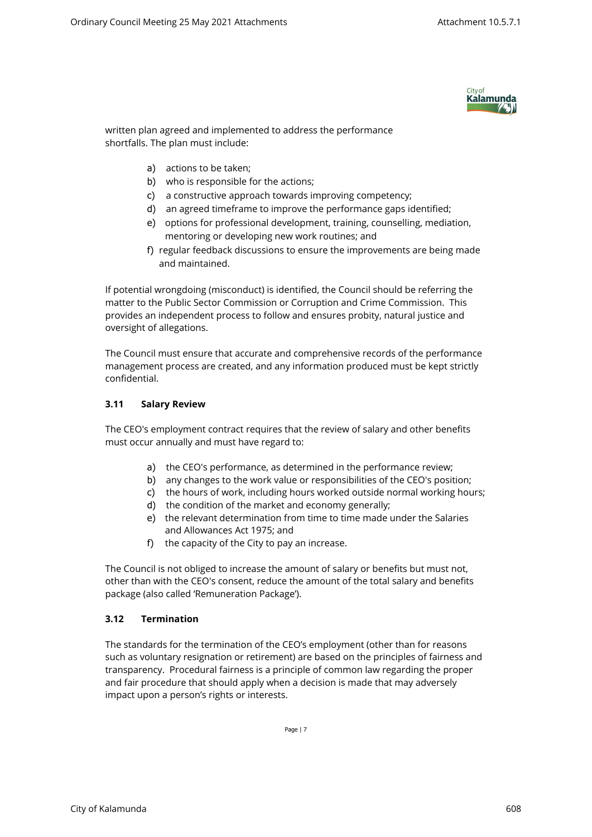

written plan agreed and implemented to address the performance shortfalls. The plan must include:

- a) actions to be taken;
- b) who is responsible for the actions;
- c) a constructive approach towards improving competency;
- d) an agreed timeframe to improve the performance gaps identified;
- e) options for professional development, training, counselling, mediation, mentoring or developing new work routines; and
- f) regular feedback discussions to ensure the improvements are being made and maintained.

If potential wrongdoing (misconduct) is identified, the Council should be referring the matter to the Public Sector Commission or Corruption and Crime Commission. This provides an independent process to follow and ensures probity, natural justice and oversight of allegations.

The Council must ensure that accurate and comprehensive records of the performance management process are created, and any information produced must be kept strictly confidential.

## **3.11 Salary Review**

The CEO's employment contract requires that the review of salary and other benefits must occur annually and must have regard to:

- a) the CEO's performance, as determined in the performance review;
- b) any changes to the work value or responsibilities of the CEO's position;
- c) the hours of work, including hours worked outside normal working hours;
- d) the condition of the market and economy generally;
- e) the relevant determination from time to time made under the Salaries and Allowances Act 1975; and
- f) the capacity of the City to pay an increase.

The Council is not obliged to increase the amount of salary or benefits but must not, other than with the CEO's consent, reduce the amount of the total salary and benefits package (also called 'Remuneration Package').

## **3.12 Termination**

The standards for the termination of the CEO's employment (other than for reasons such as voluntary resignation or retirement) are based on the principles of fairness and transparency. Procedural fairness is a principle of common law regarding the proper and fair procedure that should apply when a decision is made that may adversely impact upon a person's rights or interests.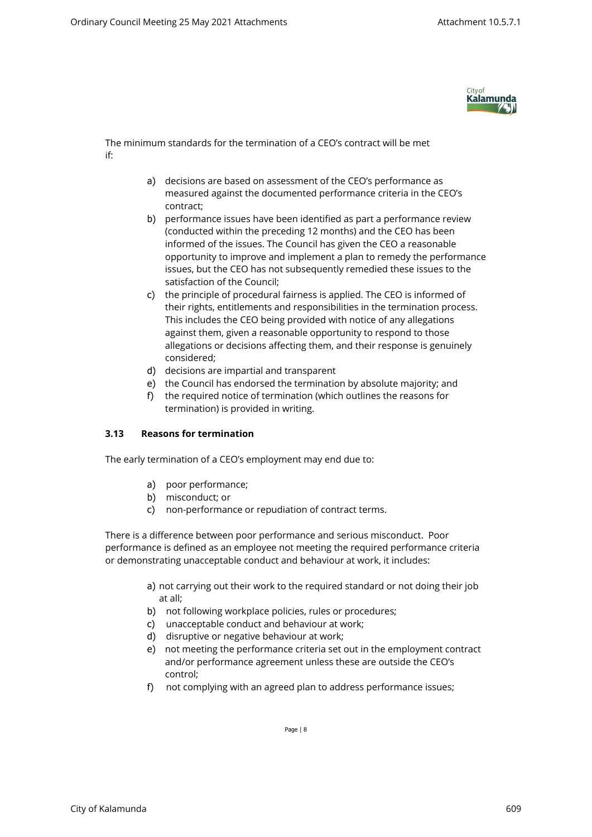

The minimum standards for the termination of a CEO's contract will be met if:

- a) decisions are based on assessment of the CEO's performance as measured against the documented performance criteria in the CEO's contract;
- b) performance issues have been identified as part a performance review (conducted within the preceding 12 months) and the CEO has been informed of the issues. The Council has given the CEO a reasonable opportunity to improve and implement a plan to remedy the performance issues, but the CEO has not subsequently remedied these issues to the satisfaction of the Council;
- c) the principle of procedural fairness is applied. The CEO is informed of their rights, entitlements and responsibilities in the termination process. This includes the CEO being provided with notice of any allegations against them, given a reasonable opportunity to respond to those allegations or decisions affecting them, and their response is genuinely considered;
- d) decisions are impartial and transparent
- e) the Council has endorsed the termination by absolute majority; and
- f) the required notice of termination (which outlines the reasons for termination) is provided in writing.

## **3.13 Reasons for termination**

The early termination of a CEO's employment may end due to:

- a) poor performance;
- b) misconduct; or
- c) non-performance or repudiation of contract terms.

There is a difference between poor performance and serious misconduct. Poor performance is defined as an employee not meeting the required performance criteria or demonstrating unacceptable conduct and behaviour at work, it includes:

- a) not carrying out their work to the required standard or not doing their job at all;
- b) not following workplace policies, rules or procedures;
- c) unacceptable conduct and behaviour at work;
- d) disruptive or negative behaviour at work;
- e) not meeting the performance criteria set out in the employment contract and/or performance agreement unless these are outside the CEO's control;
- f) not complying with an agreed plan to address performance issues;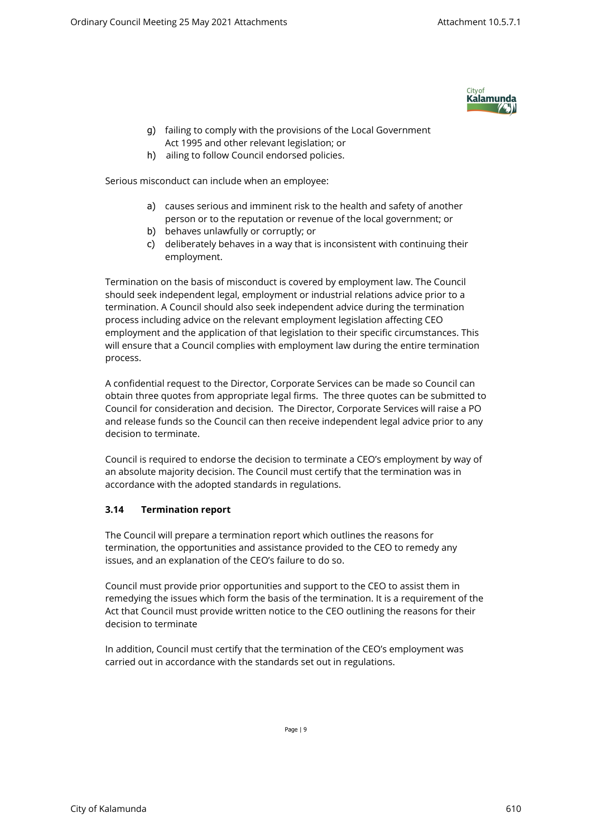

- g) failing to comply with the provisions of the Local Government Act 1995 and other relevant legislation; or
- h) ailing to follow Council endorsed policies.

Serious misconduct can include when an employee:

- a) causes serious and imminent risk to the health and safety of another person or to the reputation or revenue of the local government; or
- b) behaves unlawfully or corruptly; or
- c) deliberately behaves in a way that is inconsistent with continuing their employment.

Termination on the basis of misconduct is covered by employment law. The Council should seek independent legal, employment or industrial relations advice prior to a termination. A Council should also seek independent advice during the termination process including advice on the relevant employment legislation affecting CEO employment and the application of that legislation to their specific circumstances. This will ensure that a Council complies with employment law during the entire termination process.

A confidential request to the Director, Corporate Services can be made so Council can obtain three quotes from appropriate legal firms. The three quotes can be submitted to Council for consideration and decision. The Director, Corporate Services will raise a PO and release funds so the Council can then receive independent legal advice prior to any decision to terminate.

Council is required to endorse the decision to terminate a CEO's employment by way of an absolute majority decision. The Council must certify that the termination was in accordance with the adopted standards in regulations.

## **3.14 Termination report**

The Council will prepare a termination report which outlines the reasons for termination, the opportunities and assistance provided to the CEO to remedy any issues, and an explanation of the CEO's failure to do so.

Council must provide prior opportunities and support to the CEO to assist them in remedying the issues which form the basis of the termination. It is a requirement of the Act that Council must provide written notice to the CEO outlining the reasons for their decision to terminate

In addition, Council must certify that the termination of the CEO's employment was carried out in accordance with the standards set out in regulations.